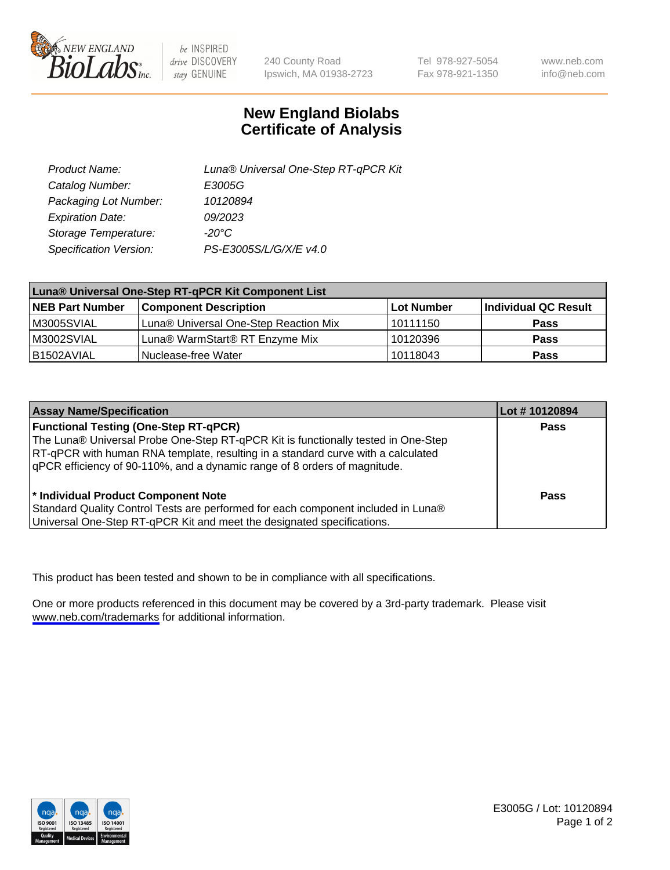

be INSPIRED drive DISCOVERY stay GENUINE

240 County Road Ipswich, MA 01938-2723 Tel 978-927-5054 Fax 978-921-1350

www.neb.com info@neb.com

## **New England Biolabs Certificate of Analysis**

| Product Name:           | Luna® Universal One-Step RT-qPCR Kit |
|-------------------------|--------------------------------------|
| Catalog Number:         | E3005G                               |
| Packaging Lot Number:   | 10120894                             |
| <b>Expiration Date:</b> | 09/2023                              |
| Storage Temperature:    | $-20^{\circ}$ C                      |
| Specification Version:  | PS-E3005S/L/G/X/E v4.0               |

| Luna® Universal One-Step RT-qPCR Kit Component List |                                       |            |                      |  |
|-----------------------------------------------------|---------------------------------------|------------|----------------------|--|
| <b>NEB Part Number</b>                              | <b>Component Description</b>          | Lot Number | Individual QC Result |  |
| M3005SVIAL                                          | Luna® Universal One-Step Reaction Mix | l 10111150 | Pass                 |  |
| M3002SVIAL                                          | Luna® WarmStart® RT Enzyme Mix        | 10120396   | <b>Pass</b>          |  |
| B1502AVIAL                                          | Nuclease-free Water                   | 10118043   | <b>Pass</b>          |  |

| <b>Assay Name/Specification</b>                                                   | Lot # 10120894 |
|-----------------------------------------------------------------------------------|----------------|
| <b>Functional Testing (One-Step RT-qPCR)</b>                                      | <b>Pass</b>    |
| The Luna® Universal Probe One-Step RT-qPCR Kit is functionally tested in One-Step |                |
| RT-qPCR with human RNA template, resulting in a standard curve with a calculated  |                |
| qPCR efficiency of 90-110%, and a dynamic range of 8 orders of magnitude.         |                |
| <sup>*</sup> Individual Product Component Note                                    | Pass           |
| Standard Quality Control Tests are performed for each component included in Luna® |                |
| Universal One-Step RT-qPCR Kit and meet the designated specifications.            |                |

This product has been tested and shown to be in compliance with all specifications.

One or more products referenced in this document may be covered by a 3rd-party trademark. Please visit <www.neb.com/trademarks>for additional information.